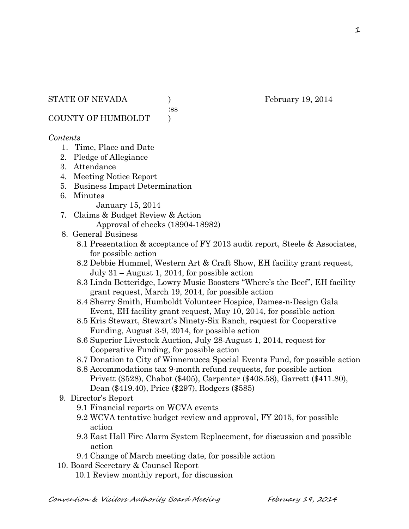:ss

COUNTY OF HUMBOLDT )

## *Contents*

- 1. Time, Place and Date
- 2. Pledge of Allegiance
- 3. Attendance
- 4. Meeting Notice Report
- 5. Business Impact Determination
- 6. Minutes

January 15, 2014

- 7. Claims & Budget Review & Action Approval of checks (18904-18982)
- 8. General Business
	- 8.1 Presentation & acceptance of FY 2013 audit report, Steele & Associates, for possible action
	- 8.2 Debbie Hummel, Western Art & Craft Show, EH facility grant request, July 31 – August 1, 2014, for possible action
	- 8.3 Linda Betteridge, Lowry Music Boosters "Where's the Beef", EH facility grant request, March 19, 2014, for possible action
	- 8.4 Sherry Smith, Humboldt Volunteer Hospice, Dames-n-Design Gala Event, EH facility grant request, May 10, 2014, for possible action
	- 8.5 Kris Stewart, Stewart's Ninety-Six Ranch, request for Cooperative Funding, August 3-9, 2014, for possible action
	- 8.6 Superior Livestock Auction, July 28-August 1, 2014, request for Cooperative Funding, for possible action
	- 8.7 Donation to City of Winnemucca Special Events Fund, for possible action
	- 8.8 Accommodations tax 9-month refund requests, for possible action Privett (\$528), Chabot (\$405), Carpenter (\$408.58), Garrett (\$411.80), Dean (\$419.40), Price (\$297), Rodgers (\$585)
- 9. Director's Report
	- 9.1 Financial reports on WCVA events
	- 9.2 WCVA tentative budget review and approval, FY 2015, for possible action
	- 9.3 East Hall Fire Alarm System Replacement, for discussion and possible action
	- 9.4 Change of March meeting date, for possible action
- 10. Board Secretary & Counsel Report
	- 10.1 Review monthly report, for discussion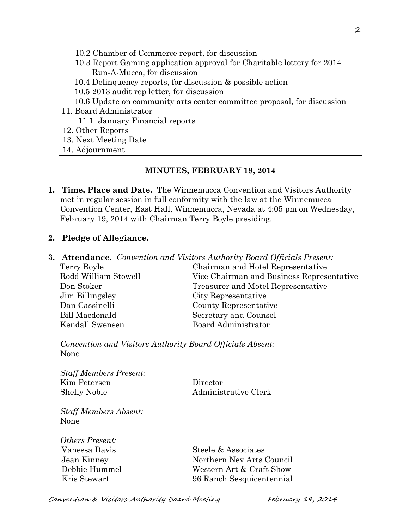- 10.2 Chamber of Commerce report, for discussion
- 10.3 Report Gaming application approval for Charitable lottery for 2014 Run-A-Mucca, for discussion
- 10.4 Delinquency reports, for discussion & possible action
- 10.5 2013 audit rep letter, for discussion
- 10.6 Update on community arts center committee proposal, for discussion
- 11. Board Administrator
	- 11.1 January Financial reports
- 12. Other Reports
- 13. Next Meeting Date
- 14. Adjournment

#### **MINUTES, FEBRUARY 19, 2014**

**1. Time, Place and Date.** The Winnemucca Convention and Visitors Authority met in regular session in full conformity with the law at the Winnemucca Convention Center, East Hall, Winnemucca, Nevada at 4:05 pm on Wednesday, February 19, 2014 with Chairman Terry Boyle presiding.

## **2. Pledge of Allegiance.**

**3. Attendance.** *Convention and Visitors Authority Board Officials Present:* Terry Boyle Chairman and Hotel Representative Rodd William Stowell Vice Chairman and Business Representative Don Stoker Treasurer and Motel Representative Jim Billingsley City Representative Dan Cassinelli County Representative Bill Macdonald Secretary and Counsel Kendall Swensen Board Administrator

*Convention and Visitors Authority Board Officials Absent:* None

*Staff Members Present:* Kim Petersen Director Shelly Noble Administrative Clerk

*Staff Members Absent:* None

*Others Present:*

Vanessa Davis Steele & Associates Jean Kinney Northern Nev Arts Council Debbie Hummel Western Art & Craft Show Kris Stewart 96 Ranch Sesquicentennial

Convention & Visitors Authority Board Meeting February 19, 2014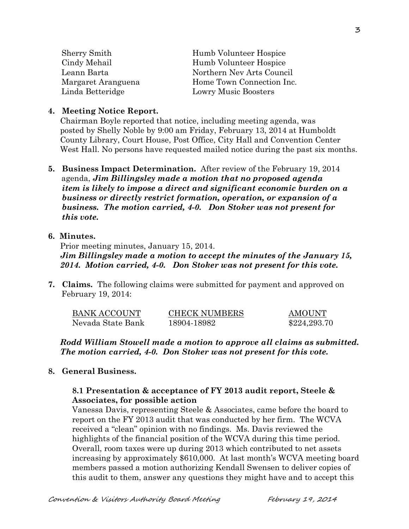| <b>Sherry Smith</b> | Humb Volunteer Hospice      |
|---------------------|-----------------------------|
| Cindy Mehail        | Humb Volunteer Hospice      |
| Leann Barta         | Northern Nev Arts Council   |
| Margaret Aranguena  | Home Town Connection Inc.   |
| Linda Betteridge    | <b>Lowry Music Boosters</b> |
|                     |                             |

#### **4. Meeting Notice Report.**

Chairman Boyle reported that notice, including meeting agenda, was posted by Shelly Noble by 9:00 am Friday, February 13, 2014 at Humboldt County Library, Court House, Post Office, City Hall and Convention Center West Hall. No persons have requested mailed notice during the past six months.

**5. Business Impact Determination.** After review of the February 19, 2014 agenda, *Jim Billingsley made a motion that no proposed agenda item is likely to impose a direct and significant economic burden on a business or directly restrict formation, operation, or expansion of a business. The motion carried, 4-0. Don Stoker was not present for this vote.*

#### **6. Minutes.**

Prior meeting minutes, January 15, 2014. *Jim Billingsley made a motion to accept the minutes of the January 15, 2014. Motion carried, 4-0. Don Stoker was not present for this vote.*

**7. Claims.** The following claims were submitted for payment and approved on February 19, 2014:

| BANK ACCOUNT      | <b>CHECK NUMBERS</b> | AMOUNT       |
|-------------------|----------------------|--------------|
| Nevada State Bank | 18904-18982          | \$224,293.70 |

*Rodd William Stowell made a motion to approve all claims as submitted. The motion carried, 4-0. Don Stoker was not present for this vote.*

#### **8. General Business.**

#### **8.1 Presentation & acceptance of FY 2013 audit report, Steele & Associates, for possible action**

Vanessa Davis, representing Steele & Associates, came before the board to report on the FY 2013 audit that was conducted by her firm. The WCVA received a "clean" opinion with no findings. Ms. Davis reviewed the highlights of the financial position of the WCVA during this time period. Overall, room taxes were up during 2013 which contributed to net assets increasing by approximately \$610,000. At last month's WCVA meeting board members passed a motion authorizing Kendall Swensen to deliver copies of this audit to them, answer any questions they might have and to accept this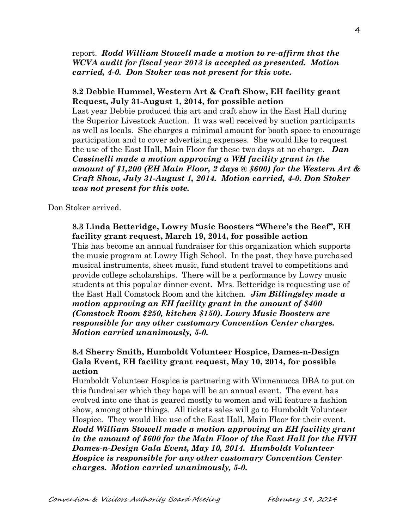report. *Rodd William Stowell made a motion to re-affirm that the WCVA audit for fiscal year 2013 is accepted as presented. Motion carried, 4-0. Don Stoker was not present for this vote.* 

#### **8.2 Debbie Hummel, Western Art & Craft Show, EH facility grant Request, July 31-August 1, 2014, for possible action**

Last year Debbie produced this art and craft show in the East Hall during the Superior Livestock Auction. It was well received by auction participants as well as locals. She charges a minimal amount for booth space to encourage participation and to cover advertising expenses. She would like to request the use of the East Hall, Main Floor for these two days at no charge. *Dan Cassinelli made a motion approving a WH facility grant in the amount of \$1,200 (EH Main Floor, 2 days @ \$600) for the Western Art & Craft Show, July 31-August 1, 2014. Motion carried, 4-0. Don Stoker was not present for this vote.*

#### Don Stoker arrived.

#### **8.3 Linda Betteridge, Lowry Music Boosters "Where's the Beef", EH facility grant request, March 19, 2014, for possible action**

This has become an annual fundraiser for this organization which supports the music program at Lowry High School. In the past, they have purchased musical instruments, sheet music, fund student travel to competitions and provide college scholarships. There will be a performance by Lowry music students at this popular dinner event. Mrs. Betteridge is requesting use of the East Hall Comstock Room and the kitchen. *Jim Billingsley made a motion approving an EH facility grant in the amount of \$400 (Comstock Room \$250, kitchen \$150). Lowry Music Boosters are responsible for any other customary Convention Center charges. Motion carried unanimously, 5-0.* 

## **8.4 Sherry Smith, Humboldt Volunteer Hospice, Dames-n-Design Gala Event, EH facility grant request, May 10, 2014, for possible action**

Humboldt Volunteer Hospice is partnering with Winnemucca DBA to put on this fundraiser which they hope will be an annual event. The event has evolved into one that is geared mostly to women and will feature a fashion show, among other things. All tickets sales will go to Humboldt Volunteer Hospice. They would like use of the East Hall, Main Floor for their event. *Rodd William Stowell made a motion approving an EH facility grant in the amount of \$600 for the Main Floor of the East Hall for the HVH Dames-n-Design Gala Event, May 10, 2014. Humboldt Volunteer Hospice is responsible for any other customary Convention Center charges. Motion carried unanimously, 5-0.*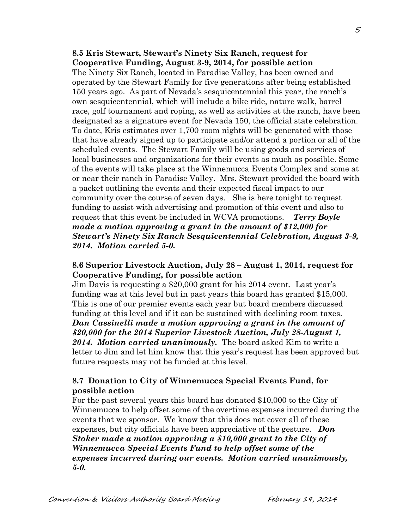#### **8.5 Kris Stewart, Stewart's Ninety Six Ranch, request for Cooperative Funding, August 3-9, 2014, for possible action**

The Ninety Six Ranch, located in Paradise Valley, has been owned and operated by the Stewart Family for five generations after being established 150 years ago. As part of Nevada's sesquicentennial this year, the ranch's own sesquicentennial, which will include a bike ride, nature walk, barrel race, golf tournament and roping, as well as activities at the ranch, have been designated as a signature event for Nevada 150, the official state celebration. To date, Kris estimates over 1,700 room nights will be generated with those that have already signed up to participate and/or attend a portion or all of the scheduled events. The Stewart Family will be using goods and services of local businesses and organizations for their events as much as possible. Some of the events will take place at the Winnemucca Events Complex and some at or near their ranch in Paradise Valley. Mrs. Stewart provided the board with a packet outlining the events and their expected fiscal impact to our community over the course of seven days. She is here tonight to request funding to assist with advertising and promotion of this event and also to request that this event be included in WCVA promotions. *Terry Boyle made a motion approving a grant in the amount of \$12,000 for Stewart's Ninety Six Ranch Sesquicentennial Celebration, August 3-9, 2014. Motion carried 5-0.*

#### **8.6 Superior Livestock Auction, July 28 – August 1, 2014, request for Cooperative Funding, for possible action**

Jim Davis is requesting a \$20,000 grant for his 2014 event. Last year's funding was at this level but in past years this board has granted \$15,000. This is one of our premier events each year but board members discussed funding at this level and if it can be sustained with declining room taxes. *Dan Cassinelli made a motion approving a grant in the amount of \$20,000 for the 2014 Superior Livestock Auction, July 28-August 1, 2014. Motion carried unanimously.* The board asked Kim to write a letter to Jim and let him know that this year's request has been approved but future requests may not be funded at this level.

## **8.7 Donation to City of Winnemucca Special Events Fund, for possible action**

For the past several years this board has donated \$10,000 to the City of Winnemucca to help offset some of the overtime expenses incurred during the events that we sponsor. We know that this does not cover all of these expenses, but city officials have been appreciative of the gesture. *Don Stoker made a motion approving a \$10,000 grant to the City of Winnemucca Special Events Fund to help offset some of the expenses incurred during our events. Motion carried unanimously, 5-0.*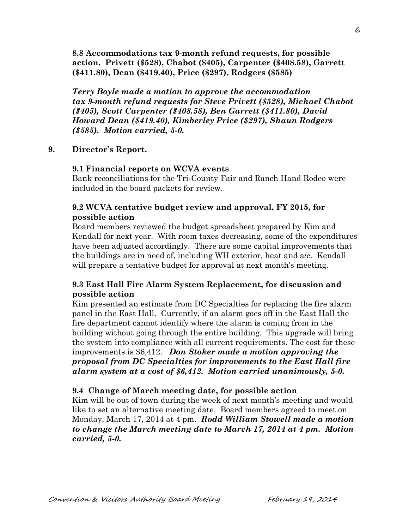**8.8 Accommodations tax 9-month refund requests, for possible action, Privett (\$528), Chabot (\$405), Carpenter (\$408.58), Garrett (\$411.80), Dean (\$419.40), Price (\$297), Rodgers (\$585)**

*Terry Boyle made a motion to approve the accommodation tax 9-month refund requests for Steve Privett (\$528), Michael Chabot (\$405), Scott Carpenter (\$408.58), Ben Garrett (\$411.80), David Howard Dean (\$419.40), Kimberley Price (\$297), Shaun Rodgers (\$585). Motion carried, 5-0.*

## **9. Director's Report.**

#### **9.1 Financial reports on WCVA events**

Bank reconciliations for the Tri-County Fair and Ranch Hand Rodeo were included in the board packets for review.

## **9.2 WCVA tentative budget review and approval, FY 2015, for possible action**

Board members reviewed the budget spreadsheet prepared by Kim and Kendall for next year. With room taxes decreasing, some of the expenditures have been adjusted accordingly. There are some capital improvements that the buildings are in need of, including WH exterior, heat and a/c. Kendall will prepare a tentative budget for approval at next month's meeting.

# **9.3 East Hall Fire Alarm System Replacement, for discussion and possible action**

Kim presented an estimate from DC Specialties for replacing the fire alarm panel in the East Hall. Currently, if an alarm goes off in the East Hall the fire department cannot identify where the alarm is coming from in the building without going through the entire building. This upgrade will bring the system into compliance with all current requirements. The cost for these improvements is \$6,412. *Don Stoker made a motion approving the proposal from DC Specialties for improvements to the East Hall fire alarm system at a cost of \$6,412. Motion carried unanimously, 5-0.* 

## **9.4 Change of March meeting date, for possible action**

Kim will be out of town during the week of next month's meeting and would like to set an alternative meeting date. Board members agreed to meet on Monday, March 17, 2014 at 4 pm. *Rodd William Stowell made a motion to change the March meeting date to March 17, 2014 at 4 pm. Motion carried, 5-0.*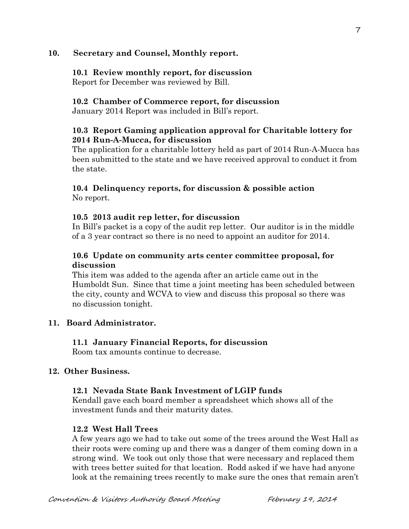## **10. Secretary and Counsel, Monthly report.**

## **10.1 Review monthly report, for discussion**

Report for December was reviewed by Bill.

## **10.2 Chamber of Commerce report, for discussion**

January 2014 Report was included in Bill's report.

# **10.3 Report Gaming application approval for Charitable lottery for 2014 Run-A-Mucca, for discussion**

The application for a charitable lottery held as part of 2014 Run-A-Mucca has been submitted to the state and we have received approval to conduct it from the state.

## **10.4 Delinquency reports, for discussion & possible action** No report.

## **10.5 2013 audit rep letter, for discussion**

In Bill's packet is a copy of the audit rep letter. Our auditor is in the middle of a 3 year contract so there is no need to appoint an auditor for 2014.

## **10.6 Update on community arts center committee proposal, for discussion**

This item was added to the agenda after an article came out in the Humboldt Sun. Since that time a joint meeting has been scheduled between the city, county and WCVA to view and discuss this proposal so there was no discussion tonight.

# **11. Board Administrator.**

# **11.1 January Financial Reports, for discussion**

Room tax amounts continue to decrease.

# **12. Other Business.**

# **12.1 Nevada State Bank Investment of LGIP funds**

Kendall gave each board member a spreadsheet which shows all of the investment funds and their maturity dates.

# **12.2 West Hall Trees**

A few years ago we had to take out some of the trees around the West Hall as their roots were coming up and there was a danger of them coming down in a strong wind. We took out only those that were necessary and replaced them with trees better suited for that location. Rodd asked if we have had anyone look at the remaining trees recently to make sure the ones that remain aren't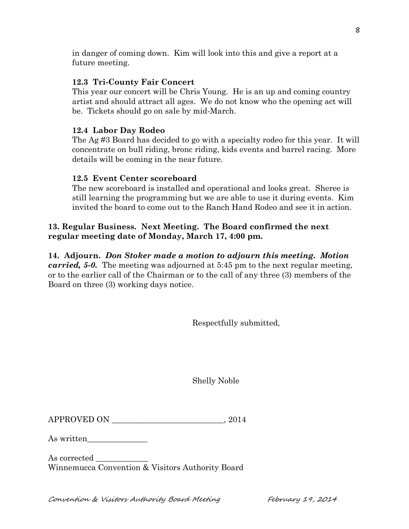in danger of coming down. Kim will look into this and give a report at a future meeting.

# **12.3 Tri-County Fair Concert**

This year our concert will be Chris Young. He is an up and coming country artist and should attract all ages. We do not know who the opening act will be. Tickets should go on sale by mid-March.

# **12.4 Labor Day Rodeo**

The Ag #3 Board has decided to go with a specialty rodeo for this year. It will concentrate on bull riding, bronc riding, kids events and barrel racing. More details will be coming in the near future.

# **12.5 Event Center scoreboard**

The new scoreboard is installed and operational and looks great. Sheree is still learning the programming but we are able to use it during events. Kim invited the board to come out to the Ranch Hand Rodeo and see it in action.

# **13. Regular Business. Next Meeting. The Board confirmed the next regular meeting date of Monday, March 17, 4:00 pm.**

# **14. Adjourn.** *Don Stoker made a motion to adjourn this meeting. Motion*

*carried, 5-0.* The meeting was adjourned at 5:45 pm to the next regular meeting, or to the earlier call of the Chairman or to the call of any three (3) members of the Board on three (3) working days notice.

Respectfully submitted,

Shelly Noble

| <b>APPROVED ON</b> |  |  |
|--------------------|--|--|
|--------------------|--|--|

As written\_\_\_\_\_\_\_\_\_\_\_\_\_\_\_

As corrected Winnemucca Convention & Visitors Authority Board